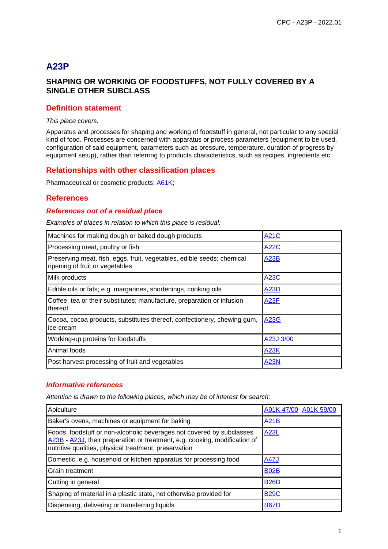# **A23P**

# **SHAPING OR WORKING OF FOODSTUFFS, NOT FULLY COVERED BY A SINGLE OTHER SUBCLASS**

## **Definition statement**

#### This place covers:

Apparatus and processes for shaping and working of foodstuff in general, not particular to any special kind of food. Processes are concerned with apparatus or process parameters (equipment to be used, configuration of said equipment, parameters such as pressure, temperature, duration of progress by equipment setup), rather than referring to products characteristics, such as recipes, ingredients etc.

## **Relationships with other classification places**

Pharmaceutical or cosmetic products: A61K;

## **References**

## **References out of a residual place**

Examples of places in relation to which this place is residual:

| Machines for making dough or baked dough products                                                         | <b>A21C</b> |
|-----------------------------------------------------------------------------------------------------------|-------------|
| Processing meat, poultry or fish                                                                          | <b>A22C</b> |
| Preserving meat, fish, eggs, fruit, vegetables, edible seeds; chemical<br>ripening of fruit or vegetables | <b>A23B</b> |
| Milk products                                                                                             | <b>A23C</b> |
| Edible oils or fats; e.g. margarines, shortenings, cooking oils                                           | A23D        |
| Coffee, tea or their substitutes; manufacture, preparation or infusion<br>thereof                         | <b>A23F</b> |
| Cocoa, cocoa products, substitutes thereof, confectionery, chewing gum,<br>ice-cream                      | <b>A23G</b> |
| Working-up proteins for foodstuffs                                                                        | A23J 3/00   |
| Animal foods                                                                                              | A23K        |
| Post harvest processing of fruit and vegetables                                                           | <b>A23N</b> |

#### **Informative references**

Attention is drawn to the following places, which may be of interest for search:

| Apiculture                                                                                                                                                                                                   | A01K 47/00- A01K 59/00 |
|--------------------------------------------------------------------------------------------------------------------------------------------------------------------------------------------------------------|------------------------|
| Baker's ovens, machines or equipment for baking                                                                                                                                                              | <b>A21B</b>            |
| Foods, foodstuff or non-alcoholic beverages not covered by subclasses<br>A23B - A23J, their preparation or treatment, e.g. cooking, modification of<br>nutritive qualities, physical treatment, preservation | <b>A23L</b>            |
| Domestic, e.g. household or kitchen apparatus for processing food                                                                                                                                            | <b>A47J</b>            |
| Grain treatment                                                                                                                                                                                              | <b>B02B</b>            |
| Cutting in general                                                                                                                                                                                           | <b>B26D</b>            |
| Shaping of material in a plastic state, not otherwise provided for                                                                                                                                           | <b>B29C</b>            |
| Dispensing, delivering or transferring liquids                                                                                                                                                               | <b>B67D</b>            |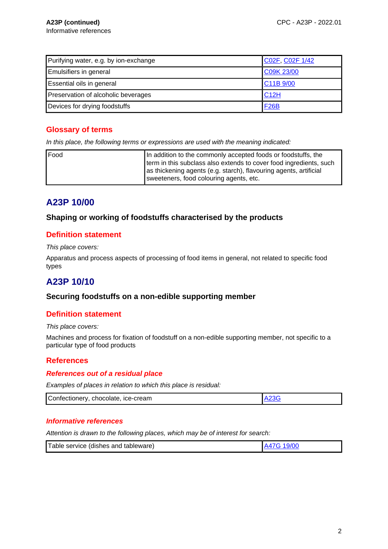| Purifying water, e.g. by ion-exchange | C02F, C02F 1/42                   |
|---------------------------------------|-----------------------------------|
| <b>Emulsifiers in general</b>         | C09K 23/00                        |
| <b>Essential oils in general</b>      | C <sub>11</sub> B <sub>9/00</sub> |
| Preservation of alcoholic beverages   | C12H                              |
| Devices for drying foodstuffs         | <b>F26B</b>                       |

# **Glossary of terms**

In this place, the following terms or expressions are used with the meaning indicated:

| Food | In addition to the commonly accepted foods or foodstuffs, the      |
|------|--------------------------------------------------------------------|
|      | term in this subclass also extends to cover food ingredients, such |
|      | as thickening agents (e.g. starch), flavouring agents, artificial  |
|      | sweeteners, food colouring agents, etc.                            |

# **A23P 10/00**

# **Shaping or working of foodstuffs characterised by the products**

## **Definition statement**

This place covers:

Apparatus and process aspects of processing of food items in general, not related to specific food types

# **A23P 10/10**

## **Securing foodstuffs on a non-edible supporting member**

## **Definition statement**

This place covers:

Machines and process for fixation of foodstuff on a non-edible supporting member, not specific to a particular type of food products

# **References**

### **References out of a residual place**

Examples of places in relation to which this place is residual:

| Confectionery,<br>chocolate,<br>. ice-cream |  |
|---------------------------------------------|--|

#### **Informative references**

Attention is drawn to the following places, which may be of interest for search:

|--|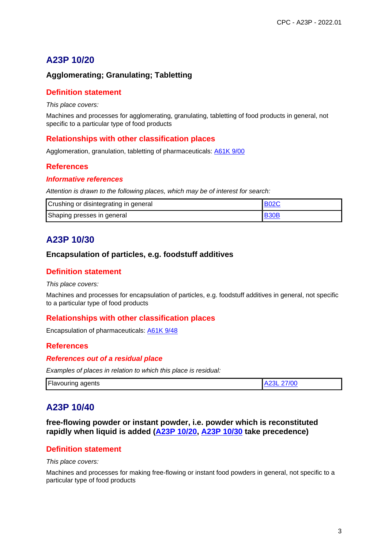# **A23P 10/20**

# **Agglomerating; Granulating; Tabletting**

## **Definition statement**

#### This place covers:

Machines and processes for agglomerating, granulating, tabletting of food products in general, not specific to a particular type of food products

## **Relationships with other classification places**

Agglomeration, granulation, tabletting of pharmaceuticals: A61K 9/00

# **References**

### **Informative references**

Attention is drawn to the following places, which may be of interest for search:

| Crushing or disintegrating in general | <b>B02C</b> |
|---------------------------------------|-------------|
| Shaping presses in general            | <b>B30B</b> |

# **A23P 10/30**

## **Encapsulation of particles, e.g. foodstuff additives**

# **Definition statement**

#### This place covers:

Machines and processes for encapsulation of particles, e.g. foodstuff additives in general, not specific to a particular type of food products

## **Relationships with other classification places**

Encapsulation of pharmaceuticals: A61K 9/48

## **References**

#### **References out of a residual place**

Examples of places in relation to which this place is residual:

| <b>Flavouring agents</b> | A23L 27/00 |
|--------------------------|------------|
|--------------------------|------------|

# **A23P 10/40**

**free-flowing powder or instant powder, i.e. powder which is reconstituted rapidly when liquid is added (A23P 10/20, A23P 10/30 take precedence)**

# **Definition statement**

This place covers:

Machines and processes for making free-flowing or instant food powders in general, not specific to a particular type of food products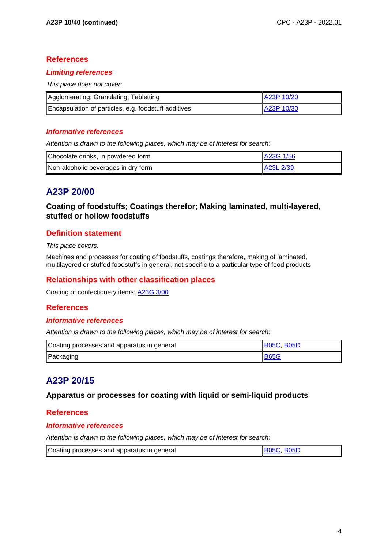## **References**

## **Limiting references**

This place does not cover:

| Agglomerating; Granulating; Tabletting               | A23P 10/20 |
|------------------------------------------------------|------------|
| Encapsulation of particles, e.g. foodstuff additives | A23P 10/30 |

### **Informative references**

Attention is drawn to the following places, which may be of interest for search:

| Chocolate drinks, in powdered form  | A23G 1/56  |
|-------------------------------------|------------|
| Non-alcoholic beverages in dry form | LA23L 2/39 |

# **A23P 20/00**

**Coating of foodstuffs; Coatings therefor; Making laminated, multi-layered, stuffed or hollow foodstuffs**

## **Definition statement**

This place covers:

Machines and processes for coating of foodstuffs, coatings therefore, making of laminated, multilayered or stuffed foodstuffs in general, not specific to a particular type of food products

# **Relationships with other classification places**

Coating of confectionery items: A23G 3/00

## **References**

#### **Informative references**

Attention is drawn to the following places, which may be of interest for search:

| Coating processes and apparatus in general | <b>IB05C, B05D</b> |
|--------------------------------------------|--------------------|
| Packaging                                  | <b>B65G</b>        |

# **A23P 20/15**

## **Apparatus or processes for coating with liquid or semi-liquid products**

## **References**

## **Informative references**

Attention is drawn to the following places, which may be of interest for search:

| Coating processes and apparatus in general | <b>B05C B05D</b> |
|--------------------------------------------|------------------|
|--------------------------------------------|------------------|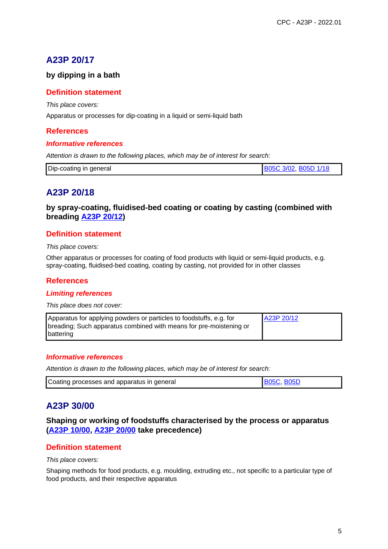# **A23P 20/17**

# **by dipping in a bath**

## **Definition statement**

This place covers:

Apparatus or processes for dip-coating in a liquid or semi-liquid bath

# **References**

### **Informative references**

Attention is drawn to the following places, which may be of interest for search:

# **A23P 20/18**

**by spray-coating, fluidised-bed coating or coating by casting (combined with breading A23P 20/12)**

## **Definition statement**

This place covers:

Other apparatus or processes for coating of food products with liquid or semi-liquid products, e.g. spray-coating, fluidised-bed coating, coating by casting, not provided for in other classes

## **References**

#### **Limiting references**

This place does not cover:

| Apparatus for applying powders or particles to foodstuffs, e.g. for | A23P 20/12 |
|---------------------------------------------------------------------|------------|
| breading; Such apparatus combined with means for pre-moistening or  |            |
| battering                                                           |            |

#### **Informative references**

Attention is drawn to the following places, which may be of interest for search:

| <b>B05C, B05D</b> |
|-------------------|
|                   |

# **A23P 30/00**

## **Shaping or working of foodstuffs characterised by the process or apparatus (A23P 10/00, A23P 20/00 take precedence)**

## **Definition statement**

#### This place covers:

Shaping methods for food products, e.g. moulding, extruding etc., not specific to a particular type of food products, and their respective apparatus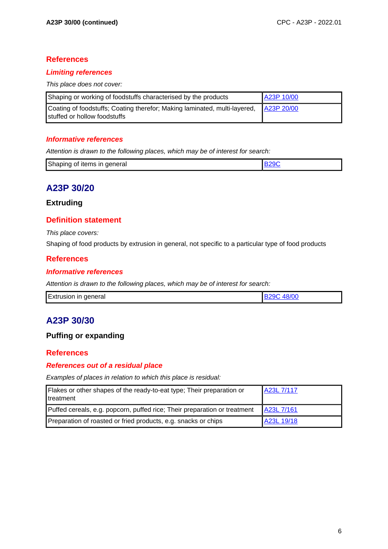# **References**

## **Limiting references**

This place does not cover:

| Shaping or working of foodstuffs characterised by the products                                            | A23P 10/00 |
|-----------------------------------------------------------------------------------------------------------|------------|
| Coating of foodstuffs; Coating therefor; Making laminated, multi-layered,<br>stuffed or hollow foodstuffs | A23P 20/00 |

## **Informative references**

Attention is drawn to the following places, which may be of interest for search:

| Shaping of items in general |  |
|-----------------------------|--|

# **A23P 30/20**

### **Extruding**

# **Definition statement**

This place covers:

Shaping of food products by extrusion in general, not specific to a particular type of food products

# **References**

### **Informative references**

Attention is drawn to the following places, which may be of interest for search:

|  | <b>Extrusion in general</b> | 48/00 |
|--|-----------------------------|-------|
|--|-----------------------------|-------|

# **A23P 30/30**

# **Puffing or expanding**

## **References**

## **References out of a residual place**

Examples of places in relation to which this place is residual:

| Flakes or other shapes of the ready-to-eat type; Their preparation or<br><b>I</b> treatment | A23L 7/117 |
|---------------------------------------------------------------------------------------------|------------|
| Puffed cereals, e.g. popcorn, puffed rice; Their preparation or treatment                   | A23L 7/161 |
| Preparation of roasted or fried products, e.g. snacks or chips                              | A23L 19/18 |